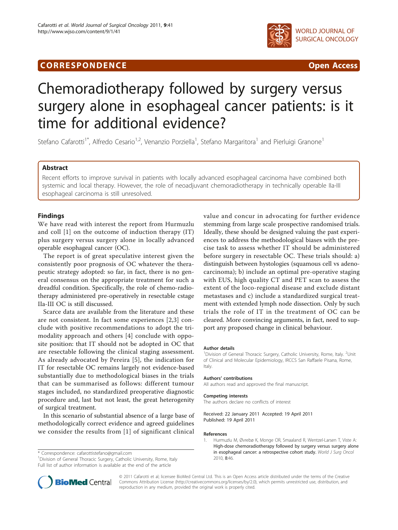# **CORRESPONDENCE CORRESPONDENCE** *CORRESPONDENCE*



# Chemoradiotherapy followed by surgery versus surgery alone in esophageal cancer patients: is it time for additional evidence?

Stefano Cafarotti<sup>1\*</sup>, Alfredo Cesario<sup>1,2</sup>, Venanzio Porziella<sup>1</sup>, Stefano Margaritora<sup>1</sup> and Pierluigi Granone<sup>1</sup>

# Abstract

Recent efforts to improve survival in patients with locally advanced esophageal carcinoma have combined both systemic and local therapy. However, the role of neoadjuvant chemoradiotherapy in technically operable IIa-III esophageal carcinoma is still unresolved.

# Findings

We have read with interest the report from Hurmuzlu and coll [1] on the outcome of induction therapy (IT) plus surgery versus surgery alone in locally advanced operable esophageal cancer (OC).

The report is of great speculative interest given the consistently poor prognosis of OC whatever the therapeutic strategy adopted: so far, in fact, there is no general consensus on the appropriate treatment for such a dreadful condition. Specifically, the role of chemo-radiotherapy administered pre-operatively in resectable cstage IIa-III OC is still discussed.

Scarce data are available from the literature and these are not consistent. In fact some experiences [\[2](#page-1-0),[3\]](#page-1-0) conclude with positive recommendations to adopt the trimodality approach and others [[4\]](#page-1-0) conclude with opposite position: that IT should not be adopted in OC that are resectable following the clinical staging assessment. As already advocated by Pereira [[5](#page-1-0)], the indication for IT for resectable OC remains largely not evidence-based substantially due to methodological biases in the trials that can be summarised as follows: different tumour stages included, no standardized preoperative diagnostic procedure and, last but not least, the great heterogenity of surgical treatment.

In this scenario of substantial absence of a large base of methodologically correct evidence and agreed guidelines we consider the results from [1] of significant clinical

\* Correspondence: [cafarottistefano@gmail.com](mailto:cafarottistefano@gmail.com)

<sup>1</sup> Division of General Thoracic Surgery, Catholic University, Rome, Italy Full list of author information is available at the end of the article

value and concur in advocating for further evidence stemming from large scale prospective randomised trials. Ideally, these should be designed valuing the past experiences to address the methodological biases with the precise task to assess whether IT should be administered before surgery in resectable OC. These trials should: a) distinguish between hystologies (squamous cell vs adenocarcinoma); b) include an optimal pre-operative staging with EUS, high quality CT and PET scan to assess the extent of the loco-regional disease and exclude distant metastases and c) include a standardized surgical treatment with extended lymph node dissection. Only by such trials the role of IT in the treatment of OC can be cleared. More convincing arguments, in fact, need to support any proposed change in clinical behaviour.

#### Author details

<sup>1</sup> Division of General Thoracic Surgery, Catholic University, Rome, Italy. <sup>2</sup> Unit of Clinical and Molecular Epidemiology, IRCCS San Raffaele Pisana, Rome, Italy.

#### Authors' contributions

All authors read and approved the final manuscript.

#### Competing interests

The authors declare no conflicts of interest

Received: 22 January 2011 Accepted: 19 April 2011 Published: 19 April 2011

#### References

1. Hurmuzlu M, Øvrebø K, Monge OR, Smaaland R, Wentzel-Larsen T, Viste A: [High-dose chemoradiotherapy followed by surgery versus surgery alone](http://www.ncbi.nlm.nih.gov/pubmed/20515502?dopt=Abstract) [in esophageal cancer: a retrospective cohort study.](http://www.ncbi.nlm.nih.gov/pubmed/20515502?dopt=Abstract) World J Surg Oncol 2010, 8:46.



© 2011 Cafarotti et al; licensee BioMed Central Ltd. This is an Open Access article distributed under the terms of the Creative Commons Attribution License [\(http://creativecommons.org/licenses/by/2.0](http://creativecommons.org/licenses/by/2.0)), which permits unrestricted use, distribution, and reproduction in any medium, provided the original work is properly cited.